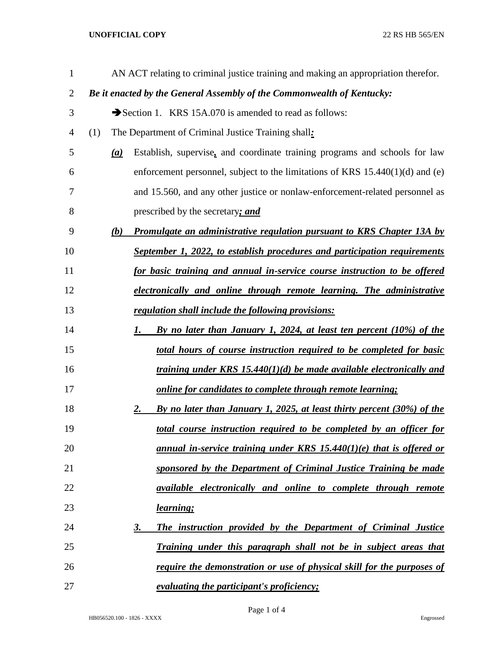## **UNOFFICIAL COPY** 22 RS HB 565/EN

| $\mathbf{1}$   |                   | AN ACT relating to criminal justice training and making an appropriation therefor. |
|----------------|-------------------|------------------------------------------------------------------------------------|
| $\overline{2}$ |                   | Be it enacted by the General Assembly of the Commonwealth of Kentucky:             |
| 3              |                   | Section 1. KRS 15A.070 is amended to read as follows:                              |
| 4              | (1)               | The Department of Criminal Justice Training shall:                                 |
| 5              | $\underline{(a)}$ | Establish, supervise, and coordinate training programs and schools for law         |
| 6              |                   | enforcement personnel, subject to the limitations of KRS $15.440(1)(d)$ and (e)    |
| 7              |                   | and 15.560, and any other justice or nonlaw-enforcement-related personnel as       |
| 8              |                   | prescribed by the secretary; and                                                   |
| 9              | (b)               | Promulgate an administrative regulation pursuant to KRS Chapter 13A by             |
| 10             |                   | September 1, 2022, to establish procedures and participation requirements          |
| 11             |                   | for basic training and annual in-service course instruction to be offered          |
| 12             |                   | electronically and online through remote learning. The administrative              |
| 13             |                   | regulation shall include the following provisions:                                 |
| 14             |                   | By no later than January 1, 2024, at least ten percent (10%) of the<br>1.          |
| 15             |                   | total hours of course instruction required to be completed for basic               |
| 16             |                   | training under KRS 15.440(1)(d) be made available electronically and               |
| 17             |                   | online for candidates to complete through remote learning;                         |
| 18             |                   | By no later than January 1, 2025, at least thirty percent (30%) of the<br>2.       |
| 19             |                   | <u>total course instruction required to be completed by an officer for</u>         |
| 20             |                   | annual in-service training under KRS $15.440(1)(e)$ that is offered or             |
| 21             |                   | sponsored by the Department of Criminal Justice Training be made                   |
| 22             |                   | available electronically and online to complete through remote                     |
| 23             |                   | <u>learning;</u>                                                                   |
| 24             |                   | The instruction provided by the Department of Criminal Justice<br><u>3.</u>        |
| 25             |                   | <u>Training under this paragraph shall not be in subject areas that</u>            |
| 26             |                   | <u>require the demonstration or use of physical skill for the purposes of</u>      |
| 27             |                   | <i>evaluating the participant's proficiency;</i>                                   |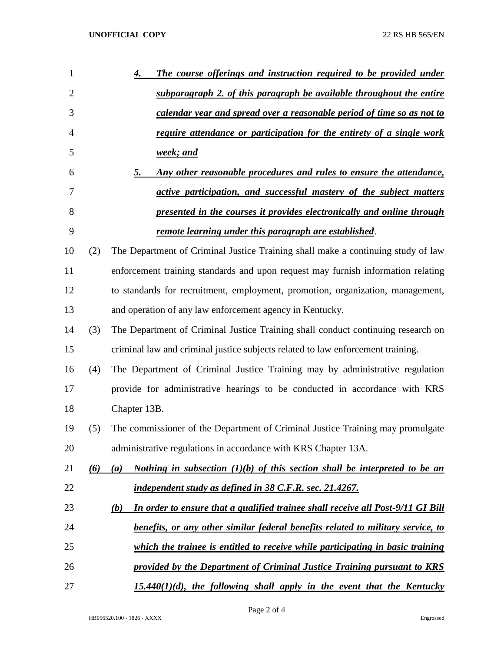| $\mathbf{1}$   |     | The course offerings and instruction required to be provided under<br>4.               |
|----------------|-----|----------------------------------------------------------------------------------------|
| $\overline{2}$ |     | subparagraph 2. of this paragraph be available throughout the entire                   |
| 3              |     | calendar year and spread over a reasonable period of time so as not to                 |
| 4              |     | <u>require attendance or participation for the entirety of a single work</u>           |
| 5              |     | week; and                                                                              |
| 6              |     | Any other reasonable procedures and rules to ensure the attendance,<br>5.              |
| 7              |     | active participation, and successful mastery of the subject matters                    |
| 8              |     | presented in the courses it provides electronically and online through                 |
| 9              |     | remote learning under this paragraph are established.                                  |
| 10             | (2) | The Department of Criminal Justice Training shall make a continuing study of law       |
| 11             |     | enforcement training standards and upon request may furnish information relating       |
| 12             |     | to standards for recruitment, employment, promotion, organization, management,         |
| 13             |     | and operation of any law enforcement agency in Kentucky.                               |
| 14             | (3) | The Department of Criminal Justice Training shall conduct continuing research on       |
| 15             |     | criminal law and criminal justice subjects related to law enforcement training.        |
| 16             | (4) | The Department of Criminal Justice Training may by administrative regulation           |
| 17             |     | provide for administrative hearings to be conducted in accordance with KRS             |
| 18             |     | Chapter 13B.                                                                           |
| 19             | (5) | The commissioner of the Department of Criminal Justice Training may promulgate         |
| 20             |     | administrative regulations in accordance with KRS Chapter 13A.                         |
| 21             | (6) | Nothing in subsection $(1)(b)$ of this section shall be interpreted to be an<br>(a)    |
| 22             |     | independent study as defined in 38 C.F.R. sec. 21.4267.                                |
| 23             |     | In order to ensure that a qualified trainee shall receive all Post-9/11 GI Bill<br>(b) |
| 24             |     | benefits, or any other similar federal benefits related to military service, to        |
| 25             |     | which the trainee is entitled to receive while participating in basic training         |
| 26             |     | provided by the Department of Criminal Justice Training pursuant to KRS                |
| 27             |     | $15.440(1)(d)$ , the following shall apply in the event that the Kentucky              |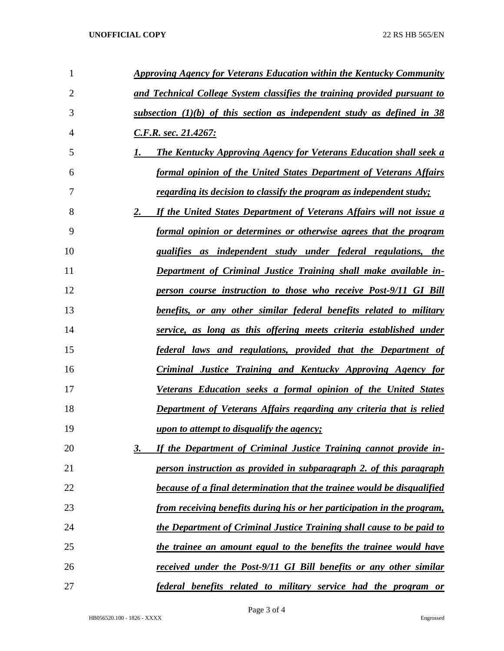| 1  | <b>Approving Agency for Veterans Education within the Kentucky Community</b>   |
|----|--------------------------------------------------------------------------------|
| 2  | and Technical College System classifies the training provided pursuant to      |
| 3  | subsection $(1)(b)$ of this section as independent study as defined in 38      |
| 4  | <u>C.F.R. sec. 21.4267:</u>                                                    |
| 5  | <b>The Kentucky Approving Agency for Veterans Education shall seek a</b>       |
| 6  | formal opinion of the United States Department of Veterans Affairs             |
| 7  | <u>regarding its decision to classify the program as independent study;</u>    |
| 8  | If the United States Department of Veterans Affairs will not issue a<br>2.     |
| 9  | <u>formal opinion or determines or otherwise agrees that the program</u>       |
| 10 | qualifies as independent study under federal regulations, the                  |
| 11 | <b>Department of Criminal Justice Training shall make available in-</b>        |
| 12 | person course instruction to those who receive Post-9/11 GI Bill               |
| 13 | <u>benefits, or any other similar federal benefits related to military</u>     |
| 14 | <u>service, as long as this offering meets criteria established under</u>      |
| 15 | <u>federal laws and regulations, provided that the Department of</u>           |
| 16 | <b>Criminal Justice Training and Kentucky Approving Agency for</b>             |
| 17 | Veterans Education seeks a formal opinion of the United States                 |
| 18 | <b>Department of Veterans Affairs regarding any criteria that is relied</b>    |
| 19 | <u>upon to attempt to disqualify the agency;</u>                               |
| 20 | If the Department of Criminal Justice Training cannot provide in-<br><u>3.</u> |
| 21 | person instruction as provided in subparagraph 2. of this paragraph            |
| 22 | because of a final determination that the trainee would be disqualified        |
| 23 | <u>from receiving benefits during his or her participation in the program,</u> |
| 24 | the Department of Criminal Justice Training shall cause to be paid to          |
| 25 | <u>the trainee an amount equal to the benefits the trainee would have</u>      |
| 26 | <u>received under the Post-9/11 GI Bill benefits or any other similar</u>      |
| 27 | federal benefits related to military service had the program or                |